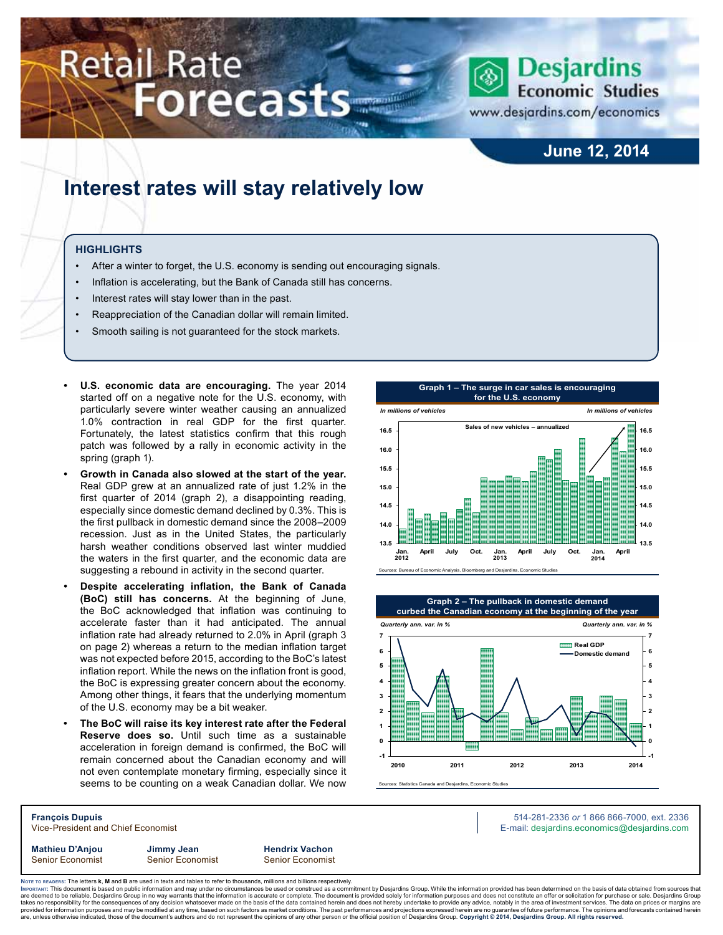# **Retail Rate** Forecasts



www.desjardins.com/economics

### **June 12, 2014**

## **Interest rates will stay relatively low**

#### **Highlights**

- After a winter to forget, the U.S. economy is sending out encouraging signals.
- Inflation is accelerating, but the Bank of Canada still has concerns.
- Interest rates will stay lower than in the past.
- Reappreciation of the Canadian dollar will remain limited.
- Smooth sailing is not guaranteed for the stock markets.
- **U.S. economic data are encouraging.** The year 2014 started off on a negative note for the U.S. economy, with particularly severe winter weather causing an annualized 1.0% contraction in real GDP for the first quarter. Fortunately, the latest statistics confirm that this rough patch was followed by a rally in economic activity in the spring (graph 1).
- **Growth in Canada also slowed at the start of the year.** Real GDP grew at an annualized rate of just 1.2% in the first quarter of 2014 (graph 2), a disappointing reading, especially since domestic demand declined by 0.3%. This is the first pullback in domestic demand since the 2008–2009 recession. Just as in the United States, the particularly harsh weather conditions observed last winter muddied the waters in the first quarter, and the economic data are suggesting a rebound in activity in the second quarter.
- **• Despite accelerating inflation, the Bank of Canada (BoC) still has concerns.** At the beginning of June, the BoC acknowledged that inflation was continuing to accelerate faster than it had anticipated. The annual inflation rate had already returned to 2.0% in April (graph 3 on page 2) whereas a return to the median inflation target was not expected before 2015, according to the BoC's latest inflation report. While the news on the inflation front is good, the BoC is expressing greater concern about the economy. Among other things, it fears that the underlying momentum of the U.S. economy may be a bit weaker.
- **The BoC will raise its key interest rate after the Federal Reserve does so.** Until such time as a sustainable acceleration in foreign demand is confirmed, the BoC will remain concerned about the Canadian economy and will not even contemplate monetary firming, especially since it seems to be counting on a weak Canadian dollar. We now





Sources: Statistics Canada and Desjardins, Economic Studies

**François Dupuis** 514-281-2336 *or* 1 866 866-7000, ext. 2336 Vice-President and Chief Economist E-mail: desjardins.economics@desjardins.com

**Mathieu D'Anjou Jimmy Jean Hendrix Vachon** Senior Economist Senior Economist Senior Economist

Noте то келоекs: The letters **k, M** and **B** are used in texts and tables to refer to thousands, millions and billions respectively.<br>Імроктлит: This document is based on public information and may under no circumstances be are deemed to be reliable, Desjardins Group in no way warrants that the information is accurate or complete. The document is provided solely for information purposes and does not constitute an offer or solicitation for pur takes no responsibility for the consequences of any decision whatsoever made on the basis of the data contained herein and does not hereby undertake to provide any advice, notably in the area of investment services. The da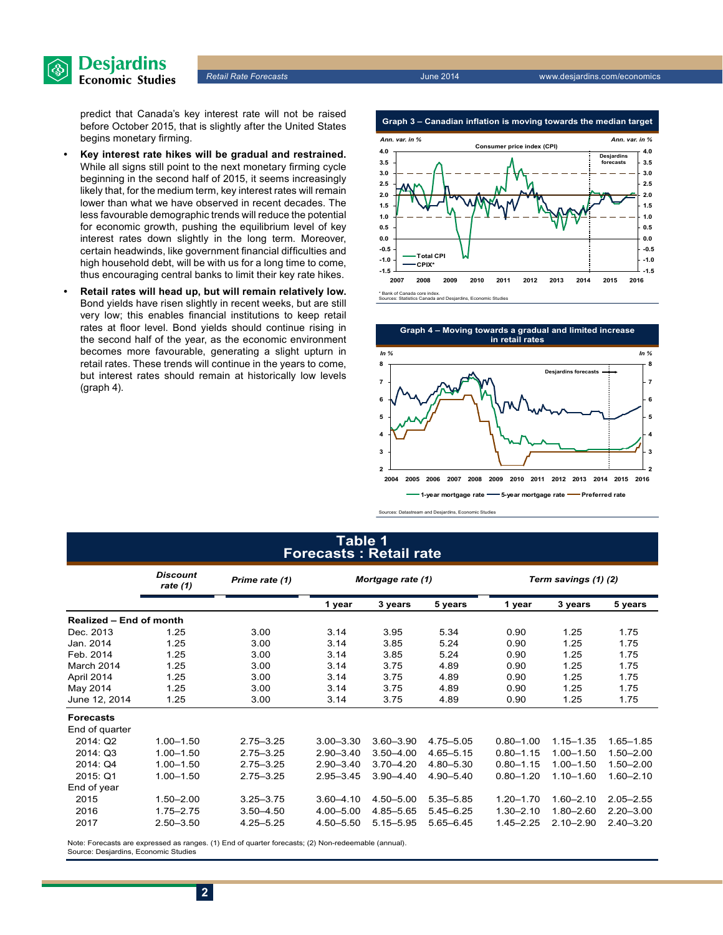

predict that Canada's key interest rate will not be raised before October 2015, that is slightly after the United States begins monetary firming.

- **• Key interest rate hikes will be gradual and restrained.**  While all signs still point to the next monetary firming cycle beginning in the second half of 2015, it seems increasingly likely that, for the medium term, key interest rates will remain lower than what we have observed in recent decades. The less favourable demographic trends will reduce the potential for economic growth, pushing the equilibrium level of key interest rates down slightly in the long term. Moreover, certain headwinds, like government financial difficulties and high household debt, will be with us for a long time to come, thus encouraging central banks to limit their key rate hikes.
- **• Retail rates will head up, but will remain relatively low.** Bond yields have risen slightly in recent weeks, but are still very low; this enables financial institutions to keep retail rates at floor level. Bond yields should continue rising in the second half of the year, as the economic environment becomes more favourable, generating a slight upturn in retail rates. These trends will continue in the years to come, but interest rates should remain at historically low levels (graph 4).





Sources: Datastream and Desjardins, Economic Studies

#### **Table 1 Forecasts : Retail rate**

|                                | <b>Discount</b><br>rate $(1)$ | Prime rate (1) | Mortgage rate (1) |               |               | Term savings (1) (2) |               |               |
|--------------------------------|-------------------------------|----------------|-------------------|---------------|---------------|----------------------|---------------|---------------|
|                                |                               |                | 1 year            | 3 years       | 5 years       | 1 year               | 3 years       | 5 years       |
| <b>Realized - End of month</b> |                               |                |                   |               |               |                      |               |               |
| Dec. 2013                      | 1.25                          | 3.00           | 3.14              | 3.95          | 5.34          | 0.90                 | 1.25          | 1.75          |
| Jan. 2014                      | 1.25                          | 3.00           | 3.14              | 3.85          | 5.24          | 0.90                 | 1.25          | 1.75          |
| Feb. 2014                      | 1.25                          | 3.00           | 3.14              | 3.85          | 5.24          | 0.90                 | 1.25          | 1.75          |
| March 2014                     | 1.25                          | 3.00           | 3.14              | 3.75          | 4.89          | 0.90                 | 1.25          | 1.75          |
| April 2014                     | 1.25                          | 3.00           | 3.14              | 3.75          | 4.89          | 0.90                 | 1.25          | 1.75          |
| May 2014                       | 1.25                          | 3.00           | 3.14              | 3.75          | 4.89          | 0.90                 | 1.25          | 1.75          |
| June 12, 2014                  | 1.25                          | 3.00           | 3.14              | 3.75          | 4.89          | 0.90                 | 1.25          | 1.75          |
| <b>Forecasts</b>               |                               |                |                   |               |               |                      |               |               |
| End of quarter                 |                               |                |                   |               |               |                      |               |               |
| 2014: Q2                       | $1.00 - 1.50$                 | $2.75 - 3.25$  | $3.00 - 3.30$     | $3.60 - 3.90$ | 4.75 - 5.05   | $0.80 - 1.00$        | $1.15 - 1.35$ | $1.65 - 1.85$ |
| 2014: Q3                       | $1.00 - 1.50$                 | $2.75 - 3.25$  | $2.90 - 3.40$     | $3.50 - 4.00$ | 4.65-5.15     | $0.80 - 1.15$        | $1.00 - 1.50$ | $1.50 - 2.00$ |
| 2014: Q4                       | $1.00 - 1.50$                 | $2.75 - 3.25$  | $2.90 - 3.40$     | $3.70 - 4.20$ | 4.80 - 5.30   | $0.80 - 1.15$        | $1.00 - 1.50$ | $1.50 - 2.00$ |
| 2015: Q1                       | $1.00 - 1.50$                 | $2.75 - 3.25$  | $2.95 - 3.45$     | $3.90 - 4.40$ | 4.90 - 5.40   | $0.80 - 1.20$        | $1.10 - 1.60$ | $1.60 - 2.10$ |
| End of year                    |                               |                |                   |               |               |                      |               |               |
| 2015                           | $1.50 - 2.00$                 | $3.25 - 3.75$  | $3.60 - 4.10$     | 4.50 - 5.00   | 5.35 - 5.85   | $1.20 - 1.70$        | $1.60 - 2.10$ | $2.05 - 2.55$ |
| 2016                           | $1.75 - 2.75$                 | $3.50 - 4.50$  | $4.00 - 5.00$     | 4.85-5.65     | $5.45 - 6.25$ | $1.30 - 2.10$        | $1.80 - 2.60$ | $2.20 - 3.00$ |
| 2017                           | $2.50 - 3.50$                 | 4.25-5.25      | 4.50 - 5.50       | 5.15 - 5.95   | $5.65 - 6.45$ | $1.45 - 2.25$        | $2.10 - 2.90$ | $2.40 - 3.20$ |

Note: Forecasts are expressed as ranges. (1) End of quarter forecasts; (2) Non-redeemable (annual). Source: Desjardins, Economic Studies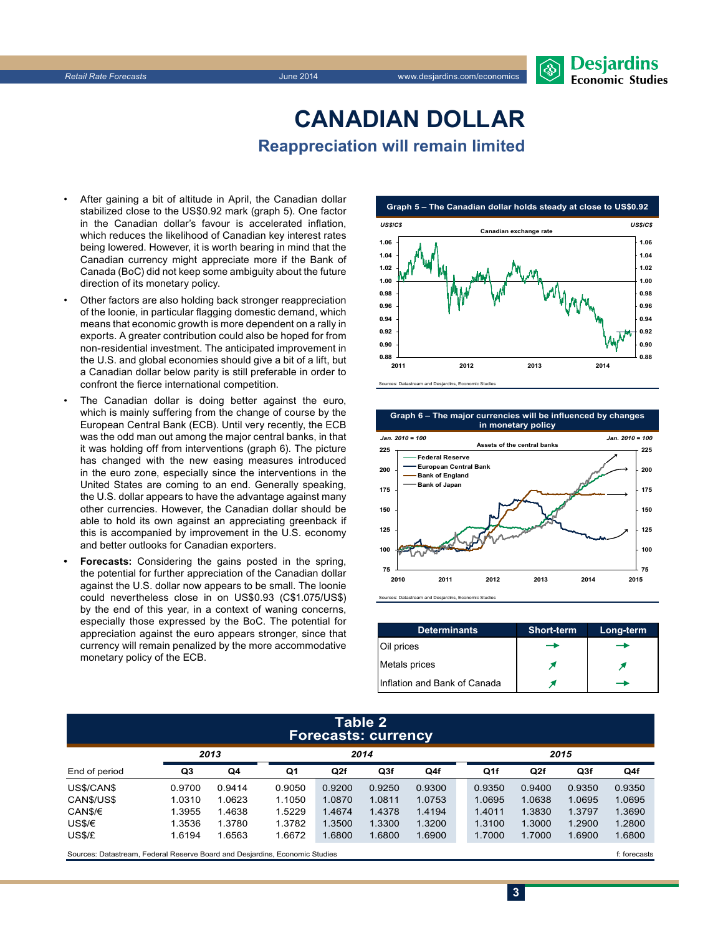

## **CanadiAn Dollar Reappreciation will remain limited**

- After gaining a bit of altitude in April, the Canadian dollar stabilized close to the US\$0.92 mark (graph 5). One factor in the Canadian dollar's favour is accelerated inflation, which reduces the likelihood of Canadian key interest rates being lowered. However, it is worth bearing in mind that the Canadian currency might appreciate more if the Bank of Canada (BoC) did not keep some ambiguity about the future direction of its monetary policy.
- Other factors are also holding back stronger reappreciation of the loonie, in particular flagging domestic demand, which means that economic growth is more dependent on a rally in exports. A greater contribution could also be hoped for from non-residential investment. The anticipated improvement in the U.S. and global economies should give a bit of a lift, but a Canadian dollar below parity is still preferable in order to confront the fierce international competition.
- The Canadian dollar is doing better against the euro, which is mainly suffering from the change of course by the European Central Bank (ECB). Until very recently, the ECB was the odd man out among the major central banks, in that it was holding off from interventions (graph 6). The picture has changed with the new easing measures introduced in the euro zone, especially since the interventions in the United States are coming to an end. Generally speaking, the U.S. dollar appears to have the advantage against many other currencies. However, the Canadian dollar should be able to hold its own against an appreciating greenback if this is accompanied by improvement in the U.S. economy and better outlooks for Canadian exporters.
- **Forecasts:** Considering the gains posted in the spring, the potential for further appreciation of the Canadian dollar against the U.S. dollar now appears to be small. The loonie could nevertheless close in on US\$0.93 (C\$1.075/US\$) by the end of this year, in a context of waning concerns, especially those expressed by the BoC. The potential for appreciation against the euro appears stronger, since that currency will remain penalized by the more accommodative monetary policy of the ECB.



Sources: Datastream and Desjardins, Economic Studies

**Graph 6 – The major currencies will be influenced by changes in monetary policy**



Sources: Datastream and Desjardins, Economic Studies

| <b>Determinants</b>          | <b>Short-term</b> | Long-term |
|------------------------------|-------------------|-----------|
| Oil prices                   |                   |           |
| Metals prices                |                   |           |
| Inflation and Bank of Canada |                   |           |

#### **Table 2 Forecasts: currency**

|               |        |        |        |        |        | . .    |                 |                 |                 |        |  |
|---------------|--------|--------|--------|--------|--------|--------|-----------------|-----------------|-----------------|--------|--|
|               | 2013   |        | 2014   |        |        |        |                 | 2015            |                 |        |  |
| End of period | Q3     | Q4     | Q1     | Q2f    | Q3f    | Q4f    | Q <sub>1f</sub> | Q <sub>2f</sub> | Q <sub>3f</sub> | Q4f    |  |
| US\$/CAN\$    | 0.9700 | 0.9414 | 0.9050 | 0.9200 | 0.9250 | 0.9300 | 0.9350          | 0.9400          | 0.9350          | 0.9350 |  |
| CANS/US\$     | 1.0310 | 1.0623 | 1.1050 | 1.0870 | 1.0811 | 1.0753 | 1.0695          | 1.0638          | 1.0695          | 1.0695 |  |
| CAN\$/€       | 1.3955 | 1.4638 | 1.5229 | 1.4674 | 1.4378 | 1.4194 | 1.4011          | 1.3830          | 1.3797          | 1.3690 |  |
| US\$/€        | 1.3536 | 1.3780 | 1.3782 | 1.3500 | 1.3300 | 1.3200 | 1.3100          | 1.3000          | 1.2900          | 1.2800 |  |
| US\$/£        | 1.6194 | 1.6563 | 1.6672 | 1.6800 | 1.6800 | 1.6900 | 1.7000          | 1.7000          | 1.6900          | 1.6800 |  |
|               |        |        |        |        |        |        |                 |                 |                 |        |  |

Sources: Datastream, Federal Reserve Board and Desjardins, Economic Studies files for example of the studies files forecasts files forecasts

**3**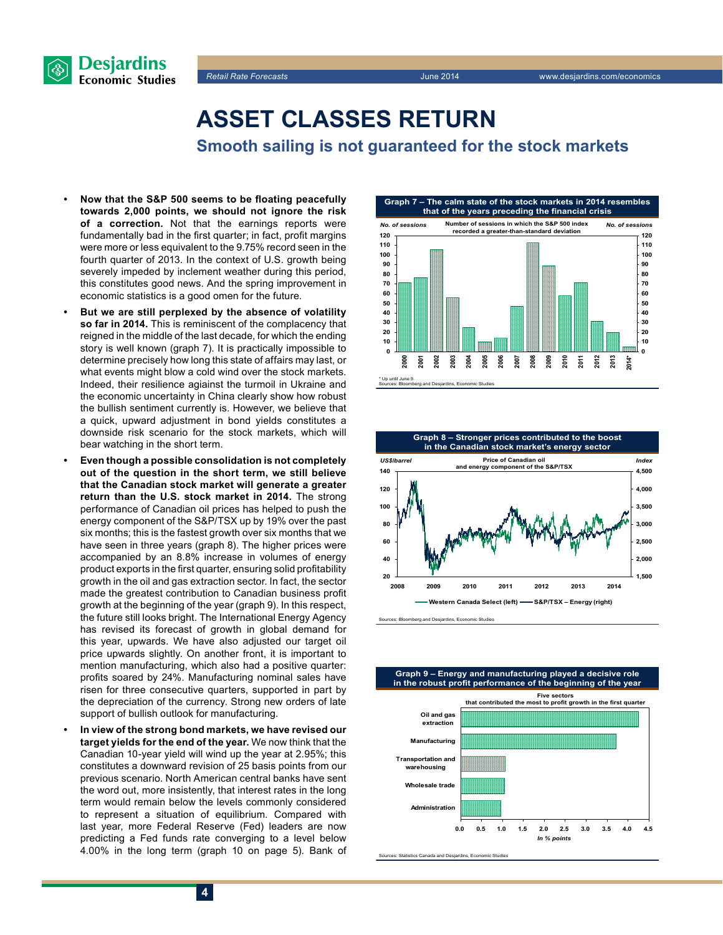



**Asset classes return**

**Smooth sailing is not guaranteed for the stock markets**

- **• Now that the S&P 500 seems to be floating peacefully towards 2,000 points, we should not ignore the risk of a correction.** Not that the earnings reports were fundamentally bad in the first quarter; in fact, profit margins were more or less equivalent to the 9.75% record seen in the fourth quarter of 2013. In the context of U.S. growth being severely impeded by inclement weather during this period, this constitutes good news. And the spring improvement in economic statistics is a good omen for the future.
- But we are still perplexed by the absence of volatility **so far in 2014.** This is reminiscent of the complacency that reigned in the middle of the last decade, for which the ending story is well known (graph 7). It is practically impossible to determine precisely how long this state of affairs may last, or what events might blow a cold wind over the stock markets. Indeed, their resilience agiainst the turmoil in Ukraine and the economic uncertainty in China clearly show how robust the bullish sentiment currently is. However, we believe that a quick, upward adjustment in bond yields constitutes a downside risk scenario for the stock markets, which will bear watching in the short term.
- **Even though a possible consolidation is not completely out of the question in the short term, we still believe that the Canadian stock market will generate a greater return than the U.S. stock market in 2014.** The strong performance of Canadian oil prices has helped to push the energy component of the S&P/TSX up by 19% over the past six months; this is the fastest growth over six months that we have seen in three years (graph 8). The higher prices were accompanied by an 8.8% increase in volumes of energy product exports in the first quarter, ensuring solid profitability growth in the oil and gas extraction sector. In fact, the sector made the greatest contribution to Canadian business profit growth at the beginning of the year (graph 9). In this respect, the future still looks bright. The International Energy Agency has revised its forecast of growth in global demand for this year, upwards. We have also adjusted our target oil price upwards slightly. On another front, it is important to mention manufacturing, which also had a positive quarter: profits soared by 24%. Manufacturing nominal sales have risen for three consecutive quarters, supported in part by the depreciation of the currency. Strong new orders of late support of bullish outlook for manufacturing.
- In view of the strong bond markets, we have revised our **target yields for the end of the year.** We now think that the Canadian 10‑year yield will wind up the year at 2.95%; this constitutes a downward revision of 25 basis points from our previous scenario. North American central banks have sent the word out, more insistently, that interest rates in the long term would remain below the levels commonly considered to represent a situation of equilibrium. Compared with last year, more Federal Reserve (Fed) leaders are now predicting a Fed funds rate converging to a level below 4.00% in the long term (graph 10 on page 5). Bank of





Sources: Bloomberg and Desjardins, Economic Studies



Sources: Statistics Canada and Desjardins, Economic Studies